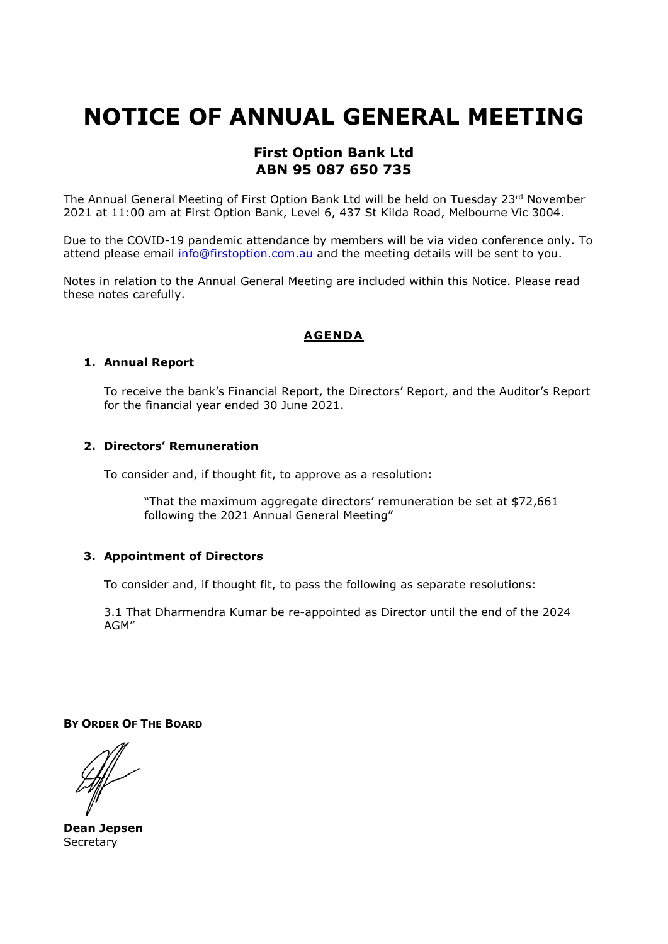# **NOTICE OF ANNUAL GENERAL MEETING**

# **First Option Bank Ltd ABN 95 087 650 735**

The Annual General Meeting of First Option Bank Ltd will be held on Tuesday 23rd November 2021 at 11:00 am at First Option Bank, Level 6, 437 St Kilda Road, Melbourne Vic 3004.

Due to the COVID-19 pandemic attendance by members will be via video conference only. To attend please email info@firstoption.com.au and the meeting details will be sent to you.

Notes in relation to the Annual General Meeting are included within this Notice. Please read these notes carefully.

# **AGENDA**

#### **1. Annual Report**

To receive the bank's Financial Report, the Directors' Report, and the Auditor's Report for the financial year ended 30 June 2021.

# **2. Directors' Remuneration**

To consider and, if thought fit, to approve as a resolution:

"That the maximum aggregate directors' remuneration be set at \$72,661 following the 2021 Annual General Meeting"

# **3. Appointment of Directors**

To consider and, if thought fit, to pass the following as separate resolutions:

3.1 That Dharmendra Kumar be re-appointed as Director until the end of the 2024 AGM"

**BY ORDER OF THE BOARD** 

**Dean Jepsen Secretary**